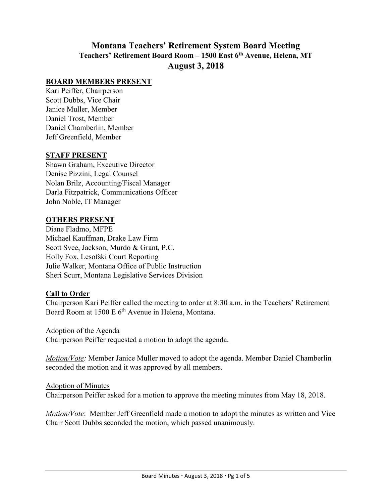# **Montana Teachers' Retirement System Board Meeting Teachers' Retirement Board Room – 1500 East 6th Avenue, Helena, MT August 3, 2018**

### **BOARD MEMBERS PRESENT**

Kari Peiffer, Chairperson Scott Dubbs, Vice Chair Janice Muller, Member Daniel Trost, Member Daniel Chamberlin, Member Jeff Greenfield, Member

### **STAFF PRESENT**

Shawn Graham, Executive Director Denise Pizzini, Legal Counsel Nolan Brilz, Accounting/Fiscal Manager Darla Fitzpatrick, Communications Officer John Noble, IT Manager

#### **OTHERS PRESENT**

Diane Fladmo, MFPE Michael Kauffman, Drake Law Firm Scott Svee, Jackson, Murdo & Grant, P.C. Holly Fox, Lesofski Court Reporting Julie Walker, Montana Office of Public Instruction Sheri Scurr, Montana Legislative Services Division

### **Call to Order**

Chairperson Kari Peiffer called the meeting to order at 8:30 a.m. in the Teachers' Retirement Board Room at 1500 E 6<sup>th</sup> Avenue in Helena, Montana.

#### Adoption of the Agenda

Chairperson Peiffer requested a motion to adopt the agenda.

*Motion/Vote:* Member Janice Muller moved to adopt the agenda. Member Daniel Chamberlin seconded the motion and it was approved by all members.

#### Adoption of Minutes

Chairperson Peiffer asked for a motion to approve the meeting minutes from May 18, 2018.

*Motion/Vote*: Member Jeff Greenfield made a motion to adopt the minutes as written and Vice Chair Scott Dubbs seconded the motion, which passed unanimously.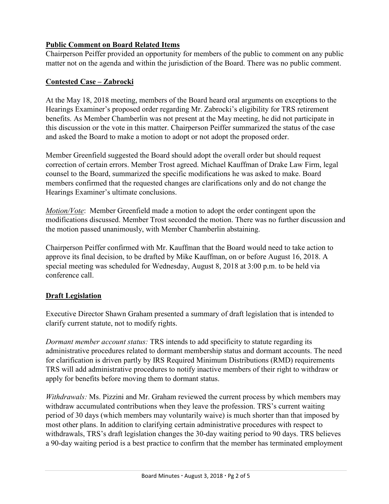## **Public Comment on Board Related Items**

Chairperson Peiffer provided an opportunity for members of the public to comment on any public matter not on the agenda and within the jurisdiction of the Board. There was no public comment.

## **Contested Case – Zabrocki**

At the May 18, 2018 meeting, members of the Board heard oral arguments on exceptions to the Hearings Examiner's proposed order regarding Mr. Zabrocki's eligibility for TRS retirement benefits. As Member Chamberlin was not present at the May meeting, he did not participate in this discussion or the vote in this matter. Chairperson Peiffer summarized the status of the case and asked the Board to make a motion to adopt or not adopt the proposed order.

Member Greenfield suggested the Board should adopt the overall order but should request correction of certain errors. Member Trost agreed. Michael Kauffman of Drake Law Firm, legal counsel to the Board, summarized the specific modifications he was asked to make. Board members confirmed that the requested changes are clarifications only and do not change the Hearings Examiner's ultimate conclusions.

*Motion/Vote*: Member Greenfield made a motion to adopt the order contingent upon the modifications discussed. Member Trost seconded the motion. There was no further discussion and the motion passed unanimously, with Member Chamberlin abstaining.

Chairperson Peiffer confirmed with Mr. Kauffman that the Board would need to take action to approve its final decision, to be drafted by Mike Kauffman, on or before August 16, 2018. A special meeting was scheduled for Wednesday, August 8, 2018 at 3:00 p.m. to be held via conference call.

## **Draft Legislation**

Executive Director Shawn Graham presented a summary of draft legislation that is intended to clarify current statute, not to modify rights.

*Dormant member account status:* TRS intends to add specificity to statute regarding its administrative procedures related to dormant membership status and dormant accounts. The need for clarification is driven partly by IRS Required Minimum Distributions (RMD) requirements TRS will add administrative procedures to notify inactive members of their right to withdraw or apply for benefits before moving them to dormant status.

*Withdrawals:* Ms. Pizzini and Mr. Graham reviewed the current process by which members may withdraw accumulated contributions when they leave the profession. TRS's current waiting period of 30 days (which members may voluntarily waive) is much shorter than that imposed by most other plans. In addition to clarifying certain administrative procedures with respect to withdrawals, TRS's draft legislation changes the 30-day waiting period to 90 days. TRS believes a 90-day waiting period is a best practice to confirm that the member has terminated employment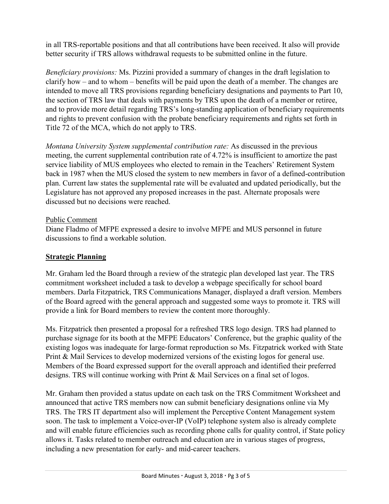in all TRS-reportable positions and that all contributions have been received. It also will provide better security if TRS allows withdrawal requests to be submitted online in the future.

*Beneficiary provisions:* Ms. Pizzini provided a summary of changes in the draft legislation to clarify how – and to whom – benefits will be paid upon the death of a member. The changes are intended to move all TRS provisions regarding beneficiary designations and payments to Part 10, the section of TRS law that deals with payments by TRS upon the death of a member or retiree, and to provide more detail regarding TRS's long-standing application of beneficiary requirements and rights to prevent confusion with the probate beneficiary requirements and rights set forth in Title 72 of the MCA, which do not apply to TRS.

*Montana University System supplemental contribution rate:* As discussed in the previous meeting, the current supplemental contribution rate of 4.72% is insufficient to amortize the past service liability of MUS employees who elected to remain in the Teachers' Retirement System back in 1987 when the MUS closed the system to new members in favor of a defined-contribution plan. Current law states the supplemental rate will be evaluated and updated periodically, but the Legislature has not approved any proposed increases in the past. Alternate proposals were discussed but no decisions were reached.

## Public Comment

Diane Fladmo of MFPE expressed a desire to involve MFPE and MUS personnel in future discussions to find a workable solution.

## **Strategic Planning**

Mr. Graham led the Board through a review of the strategic plan developed last year. The TRS commitment worksheet included a task to develop a webpage specifically for school board members. Darla Fitzpatrick, TRS Communications Manager, displayed a draft version. Members of the Board agreed with the general approach and suggested some ways to promote it. TRS will provide a link for Board members to review the content more thoroughly.

Ms. Fitzpatrick then presented a proposal for a refreshed TRS logo design. TRS had planned to purchase signage for its booth at the MFPE Educators' Conference, but the graphic quality of the existing logos was inadequate for large-format reproduction so Ms. Fitzpatrick worked with State Print & Mail Services to develop modernized versions of the existing logos for general use. Members of the Board expressed support for the overall approach and identified their preferred designs. TRS will continue working with Print & Mail Services on a final set of logos.

Mr. Graham then provided a status update on each task on the TRS Commitment Worksheet and announced that active TRS members now can submit beneficiary designations online via My TRS. The TRS IT department also will implement the Perceptive Content Management system soon. The task to implement a Voice-over-IP (VoIP) telephone system also is already complete and will enable future efficiencies such as recording phone calls for quality control, if State policy allows it. Tasks related to member outreach and education are in various stages of progress, including a new presentation for early- and mid-career teachers.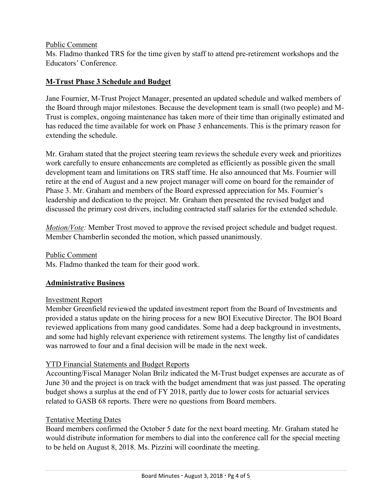#### Public Comment

Ms. Fladmo thanked TRS for the time given by staff to attend pre-retirement workshops and the Educators' Conference.

## **M-Trust Phase 3 Schedule and Budget**

Jane Fournier, M-Trust Project Manager, presented an updated schedule and walked members of the Board through major milestones. Because the development team is small (two people) and M-Trust is complex, ongoing maintenance has taken more of their time than originally estimated and has reduced the time available for work on Phase 3 enhancements. This is the primary reason for extending the schedule.

Mr. Graham stated that the project steering team reviews the schedule every week and prioritizes work carefully to ensure enhancements are completed as efficiently as possible given the small development team and limitations on TRS staff time. He also announced that Ms. Fournier will retire at the end of August and a new project manager will come on board for the remainder of Phase 3. Mr. Graham and members of the Board expressed appreciation for Ms. Fournier's leadership and dedication to the project. Mr. Graham then presented the revised budget and discussed the primary cost drivers, including contracted staff salaries for the extended schedule.

*Motion/Vote:* Member Trost moved to approve the revised project schedule and budget request. Member Chamberlin seconded the motion, which passed unanimously.

Public Comment

Ms. Fladmo thanked the team for their good work.

### **Administrative Business**

#### Investment Report

Member Greenfield reviewed the updated investment report from the Board of Investments and provided a status update on the hiring process for a new BOI Executive Director. The BOI Board reviewed applications from many good candidates. Some had a deep background in investments, and some had highly relevant experience with retirement systems. The lengthy list of candidates was narrowed to four and a final decision will be made in the next week.

### YTD Financial Statements and Budget Reports

Accounting/Fiscal Manager Nolan Brilz indicated the M-Trust budget expenses are accurate as of June 30 and the project is on track with the budget amendment that was just passed. The operating budget shows a surplus at the end of FY 2018, partly due to lower costs for actuarial services related to GASB 68 reports. There were no questions from Board members.

#### Tentative Meeting Dates

Board members confirmed the October 5 date for the next board meeting. Mr. Graham stated he would distribute information for members to dial into the conference call for the special meeting to be held on August 8, 2018. Ms. Pizzini will coordinate the meeting.